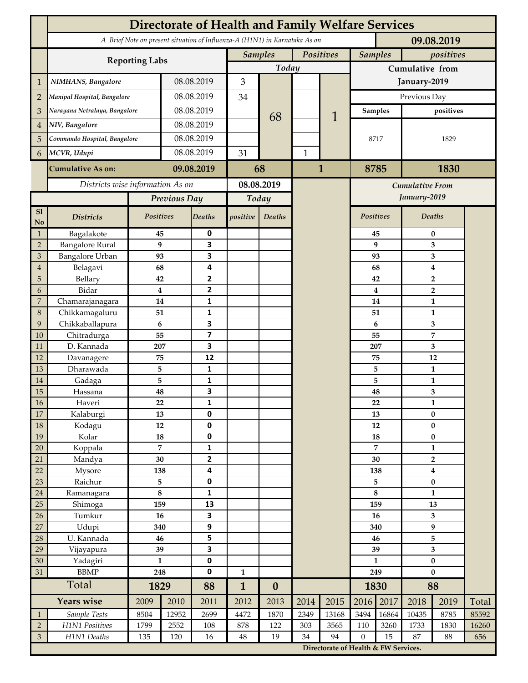|                             | <b>Directorate of Health and Family Welfare Services</b>                                 |                               |                |                                      |              |                             |              |                                      |                    |                         |                                |                     |       |  |
|-----------------------------|------------------------------------------------------------------------------------------|-------------------------------|----------------|--------------------------------------|--------------|-----------------------------|--------------|--------------------------------------|--------------------|-------------------------|--------------------------------|---------------------|-------|--|
|                             | A Brief Note on present situation of Influenza-A (H1N1) in Karnataka As on<br>09.08.2019 |                               |                |                                      |              |                             |              |                                      |                    |                         |                                |                     |       |  |
|                             |                                                                                          | Positives<br><b>Samples</b>   |                |                                      |              | <b>Samples</b><br>positives |              |                                      |                    |                         |                                |                     |       |  |
|                             | <b>Reporting Labs</b>                                                                    | Today                         |                |                                      |              | Cumulative from             |              |                                      |                    |                         |                                |                     |       |  |
| $\mathbf 1$                 | NIMHANS, Bangalore                                                                       | 08.08.2019                    |                | 3                                    |              |                             |              | January-2019                         |                    |                         |                                |                     |       |  |
| $\overline{2}$              |                                                                                          | Manipal Hospital, Bangalore   |                | 08.08.2019                           |              |                             |              |                                      | Previous Day       |                         |                                |                     |       |  |
| 3                           |                                                                                          | Narayana Netralaya, Bangalore |                | 08.08.2019                           |              |                             |              |                                      | <b>Samples</b>     |                         | positives                      |                     |       |  |
| 4                           | NIV, Bangalore                                                                           |                               |                | 08.08.2019                           |              | 68                          |              | 1                                    |                    |                         |                                |                     |       |  |
| 5                           | Commando Hospital, Bangalore                                                             |                               | 08.08.2019     |                                      |              |                             |              |                                      | 8717               |                         | 1829                           |                     |       |  |
|                             | MCVR, Udupi                                                                              |                               | 08.08.2019     |                                      | 31           |                             | $\mathbf{1}$ |                                      |                    |                         |                                |                     |       |  |
| 6                           |                                                                                          |                               |                |                                      |              |                             |              |                                      |                    |                         |                                |                     |       |  |
|                             | <b>Cumulative As on:</b>                                                                 | 09.08.2019                    |                | 68                                   |              |                             | $\mathbf{1}$ | 8785                                 |                    | 1830                    |                                |                     |       |  |
|                             | Districts wise information As on                                                         |                               |                | 08.08.2019                           |              |                             |              | Cumulative From                      |                    |                         |                                |                     |       |  |
|                             |                                                                                          | Previous Day                  |                | Today                                |              |                             |              |                                      |                    | January-2019            |                                |                     |       |  |
| S1<br>N <sub>o</sub>        | <b>Districts</b>                                                                         | Positives                     |                | <b>Deaths</b>                        | positive     | Deaths                      |              |                                      | <b>Positives</b>   |                         | <b>Deaths</b>                  |                     |       |  |
| $\mathbf{1}$                | Bagalakote                                                                               | 45                            |                | 0                                    |              |                             |              |                                      |                    | 45                      | $\bf{0}$                       |                     |       |  |
| $\mathbf 2$                 | <b>Bangalore Rural</b>                                                                   | 9                             |                | $\overline{\mathbf{3}}$              |              |                             |              |                                      |                    | 9                       | 3                              |                     |       |  |
| $\ensuremath{\mathfrak{Z}}$ | <b>Bangalore Urban</b>                                                                   | 93                            |                | 3<br>4                               |              |                             |              |                                      |                    | 93                      |                                | 3                   |       |  |
| 4<br>5                      | Belagavi<br>Bellary                                                                      | 68<br>42                      |                | $\overline{2}$                       |              |                             |              |                                      |                    | 68<br>42                |                                | 4<br>$\overline{2}$ |       |  |
| 6                           | Bidar                                                                                    | $\boldsymbol{4}$              |                | $\overline{2}$                       |              |                             |              |                                      |                    | $\overline{\mathbf{4}}$ |                                | $\overline{2}$      |       |  |
| 7                           | Chamarajanagara                                                                          | 14                            |                | 1                                    |              |                             |              |                                      | 14                 |                         | $\mathbf{1}$                   |                     |       |  |
| $\,8\,$                     | Chikkamagaluru                                                                           | 51                            |                | 1                                    |              |                             |              |                                      |                    | 51                      |                                | 1                   |       |  |
| 9                           | Chikkaballapura                                                                          | 6                             |                | $\overline{\mathbf{3}}$              |              |                             |              |                                      | 6                  |                         |                                | 3                   |       |  |
| 10                          | Chitradurga                                                                              | 55                            |                | $\overline{\mathbf{z}}$              |              |                             |              |                                      |                    | 55                      |                                | 7                   |       |  |
| 11                          | D. Kannada                                                                               | 207                           |                | 3                                    |              |                             |              |                                      | 207<br>75          |                         | 3                              |                     |       |  |
| 12<br>13                    | Davanagere<br>Dharawada                                                                  | 75<br>5                       |                | 12<br>1                              |              |                             |              |                                      |                    |                         | 12<br>$\mathbf{1}$             |                     |       |  |
| 14                          | Gadaga                                                                                   | 5                             |                | $\mathbf{1}$                         |              |                             |              |                                      |                    | 5<br>5                  | $\mathbf{1}$                   |                     |       |  |
| 15                          | Hassana                                                                                  | 48                            |                | $\overline{\mathbf{3}}$              |              |                             |              |                                      |                    | 48                      |                                | 3                   |       |  |
| 16                          | Haveri                                                                                   | 22                            |                | 1                                    |              |                             |              |                                      |                    | 22<br>$\mathbf{1}$      |                                |                     |       |  |
| 17                          | Kalaburgi                                                                                | 13                            |                | $\mathbf 0$                          |              |                             |              |                                      |                    | 13                      | $\bf{0}$                       |                     |       |  |
| $18\,$                      | Kodagu                                                                                   | 12                            |                | $\pmb{0}$                            |              |                             |              |                                      | $12\,$             |                         | $\pmb{0}$                      |                     |       |  |
| 19                          | Kolar                                                                                    | 18                            |                | $\pmb{0}$                            |              |                             |              |                                      | 18                 |                         | $\bf{0}$                       |                     |       |  |
| 20                          | Koppala                                                                                  |                               | $\overline{7}$ | $\mathbf 1$                          |              |                             |              |                                      | 7<br>30            |                         | $\mathbf{1}$<br>$\overline{2}$ |                     |       |  |
| 21<br>22                    | Mandya<br>Mysore                                                                         | 30<br>138                     |                | $\mathbf{2}$<br>4                    |              |                             |              |                                      | 138                |                         | $\boldsymbol{4}$               |                     |       |  |
| $23\,$                      | Raichur                                                                                  | 5                             |                | $\pmb{0}$                            |              |                             |              |                                      |                    | 5                       | $\pmb{0}$                      |                     |       |  |
| $24\,$                      | Ramanagara                                                                               | $\bf 8$                       |                | $\mathbf{1}$                         |              |                             |              |                                      |                    | $\bf 8$                 | 1                              |                     |       |  |
| 25                          | Shimoga                                                                                  | 159                           |                | 13                                   |              |                             |              |                                      | 159                |                         | 13                             |                     |       |  |
| 26                          | Tumkur                                                                                   | 16                            |                | $\overline{\mathbf{3}}$              |              |                             |              |                                      |                    | 16                      |                                | 3                   |       |  |
| 27                          | Udupi                                                                                    | 340                           |                | 9                                    |              |                             |              |                                      | 340                |                         | 9                              |                     |       |  |
| $28\,$                      | U. Kannada                                                                               | 46                            |                | 5                                    |              |                             |              |                                      | 46                 |                         | 5                              |                     |       |  |
| 29<br>30                    | Vijayapura                                                                               | 39<br>$\mathbf{1}$            |                | $\overline{\mathbf{3}}$<br>$\pmb{0}$ |              |                             |              |                                      | 39<br>$\mathbf{1}$ |                         | 3                              |                     |       |  |
| 31                          | Yadagiri<br><b>BBMP</b>                                                                  | 248                           |                | $\pmb{0}$                            | $\mathbf{1}$ |                             |              |                                      | 249                |                         | $\bf{0}$<br>$\bf{0}$           |                     |       |  |
|                             | Total                                                                                    |                               | 1829           |                                      | $\mathbf{1}$ | $\boldsymbol{0}$            |              |                                      | 1830               |                         | 88                             |                     |       |  |
|                             | <b>Years wise</b>                                                                        | 2009                          | 2010           | 2011                                 | 2012         | 2013                        | 2014         | 2015                                 | 2016               | 2017                    | 2018                           | 2019                | Total |  |
| $\mathbf{1}$                | Sample Tests                                                                             | 8504                          | 12952          | 2699                                 | 4472         | 1870                        | 2349         | 13168                                | 3494               | 16864                   | 10435                          | 8785                | 85592 |  |
| $\overline{2}$              | H1N1 Positives                                                                           | 1799                          | 2552           | 108                                  | 878          | 122                         | 303          | 3565                                 | 110                | 3260                    | 1733                           | 1830                | 16260 |  |
| $\mathfrak{Z}$              | H1N1 Deaths                                                                              | 135                           | 120            | 16                                   | $\rm 48$     | 19                          | 34           | 94                                   | $\boldsymbol{0}$   | 15                      | 87                             | 88                  | 656   |  |
|                             |                                                                                          |                               |                |                                      |              |                             |              | Directorate of Health & FW Services. |                    |                         |                                |                     |       |  |